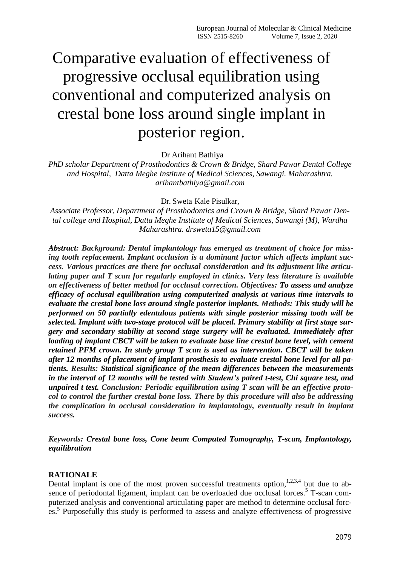# Comparative evaluation of effectiveness of progressive occlusal equilibration using conventional and computerized analysis on crestal bone loss around single implant in posterior region.

Dr Arihant Bathiya

*PhD scholar Department of Prosthodontics & Crown & Bridge, Shard Pawar Dental College and Hospital, Datta Meghe Institute of Medical Sciences, Sawangi. Maharashtra. arihantbathiya@gmail.com*

Dr. Sweta Kale Pisulkar,

*Associate Professor, Department of Prosthodontics and Crown & Bridge, Shard Pawar Dental college and Hospital, Datta Meghe Institute of Medical Sciences, Sawangi (M), Wardha Maharashtra. [drsweta15@gmail.com](mailto:drsweta15@gmail.com)*

*Abstract: Background: Dental implantology has emerged as treatment of choice for missing tooth replacement. Implant occlusion is a dominant factor which affects implant success. Various practices are there for occlusal consideration and its adjustment like articulating paper and T scan for regularly employed in clinics. Very less literature is available on effectiveness of better method for occlusal correction. Objectives: To assess and analyze efficacy of occlusal equilibration using computerized analysis at various time intervals to evaluate the crestal bone loss around single posterior implants. Methods: This study will be performed on 50 partially edentulous patients with single posterior missing tooth will be selected. Implant with two-stage protocol will be placed. Primary stability at first stage surgery and secondary stability at second stage surgery will be evaluated. Immediately after loading of implant CBCT will be taken to evaluate base line crestal bone level, with cement retained PFM crown. In study group T scan is used as intervention. CBCT will be taken after 12 months of placement of implant prosthesis to evaluate crestal bone level for all patients. Results: Statistical significance of the mean differences between the measurements in the interval of 12 months will be tested with Student's paired t-test, Chi square test, and unpaired t test. Conclusion: Periodic equilibration using T scan will be an effective protocol to control the further crestal bone loss. There by this procedure will also be addressing the complication in occlusal consideration in implantology, eventually result in implant success.*

*Keywords: Crestal bone loss, Cone beam Computed Tomography, T-scan, Implantology, equilibration*

#### **RATIONALE**

Dental implant is one of the most proven successful treatments option,  $1,2,3,4$  but due to absence of periodontal ligament, implant can be overloaded due occlusal forces.<sup>5</sup> T-scan computerized analysis and conventional articulating paper are method to determine occlusal forces.<sup>5</sup> Purposefully this study is performed to assess and analyze effectiveness of progressive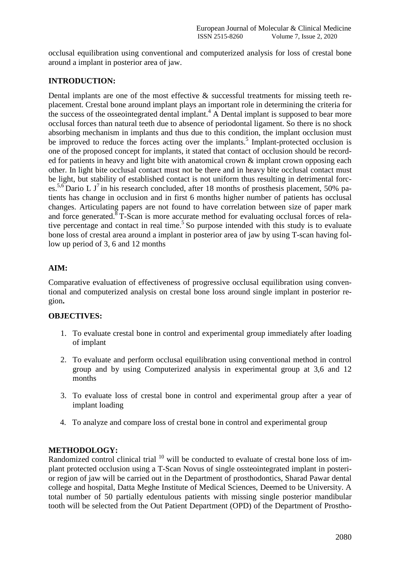occlusal equilibration using conventional and computerized analysis for loss of crestal bone around a implant in posterior area of jaw.

# **INTRODUCTION:**

Dental implants are one of the most effective & successful treatments for missing teeth replacement. Crestal bone around implant plays an important role in determining the criteria for the success of the osseointegrated dental implant.<sup>4</sup> A Dental implant is supposed to bear more occlusal forces than natural teeth due to absence of periodontal ligament. So there is no shock absorbing mechanism in implants and thus due to this condition, the implant occlusion must be improved to reduce the forces acting over the implants.<sup>5</sup> Implant-protected occlusion is one of the proposed concept for implants, it stated that contact of occlusion should be recorded for patients in heavy and light bite with anatomical crown  $\&$  implant crown opposing each other. In light bite occlusal contact must not be there and in heavy bite occlusal contact must be light, but stability of established contact is not uniform thus resulting in detrimental forces.<sup>5,6</sup> Dario L J<sup>7</sup> in his research concluded, after 18 months of prosthesis placement, 50% patients has change in occlusion and in first 6 months higher number of patients has occlusal changes. Articulating papers are not found to have correlation between size of paper mark and force generated.<sup>8</sup> T-Scan is more accurate method for evaluating occlusal forces of relative percentage and contact in real time.<sup>5</sup> So purpose intended with this study is to evaluate bone loss of crestal area around a implant in posterior area of jaw by using T-scan having follow up period of 3, 6 and 12 months

# **AIM:**

Comparative evaluation of effectiveness of progressive occlusal equilibration using conventional and computerized analysis on crestal bone loss around single implant in posterior region**.**

# **OBJECTIVES:**

- 1. To evaluate crestal bone in control and experimental group immediately after loading of implant
- 2. To evaluate and perform occlusal equilibration using conventional method in control group and by using Computerized analysis in experimental group at 3,6 and 12 months
- 3. To evaluate loss of crestal bone in control and experimental group after a year of implant loading
- 4. To analyze and compare loss of crestal bone in control and experimental group

# **METHODOLOGY:**

Randomized control clinical trial  $10$  will be conducted to evaluate of crestal bone loss of implant protected occlusion using a T-Scan Novus of single ossteointegrated implant in posterior region of jaw will be carried out in the Department of prosthodontics, Sharad Pawar dental college and hospital, Datta Meghe Institute of Medical Sciences, Deemed to be University. A total number of 50 partially edentulous patients with missing single posterior mandibular tooth will be selected from the Out Patient Department (OPD) of the Department of Prostho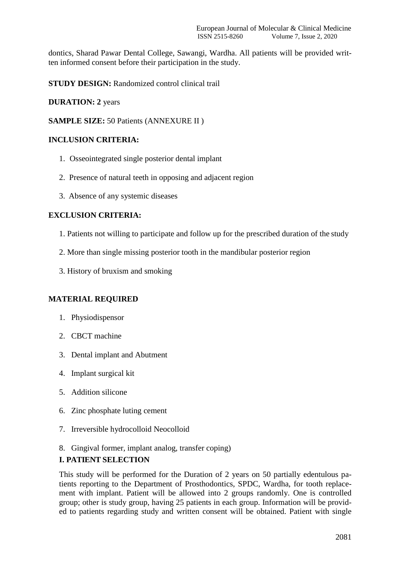dontics, Sharad Pawar Dental College, Sawangi, Wardha. All patients will be provided written informed consent before their participation in the study.

**STUDY DESIGN:** Randomized control clinical trail

#### **DURATION: 2** years

**SAMPLE SIZE:** 50 Patients (ANNEXURE II )

## **INCLUSION CRITERIA:**

- 1. Osseointegrated single posterior dental implant
- 2. Presence of natural teeth in opposing and adjacent region
- 3. Absence of any systemic diseases

## **EXCLUSION CRITERIA:**

- 1. Patients not willing to participate and follow up for the prescribed duration of the study
- 2. More than single missing posterior tooth in the mandibular posterior region
- 3. History of bruxism and smoking

# **MATERIAL REQUIRED**

- 1. Physiodispensor
- 2. CBCT machine
- 3. Dental implant and Abutment
- 4. Implant surgical kit
- 5. Addition silicone
- 6. Zinc phosphate luting cement
- 7. Irreversible hydrocolloid Neocolloid
- 8. Gingival former, implant analog, transfer coping)

#### **I. PATIENT SELECTION**

This study will be performed for the Duration of 2 years on 50 partially edentulous patients reporting to the Department of Prosthodontics, SPDC, Wardha, for tooth replacement with implant. Patient will be allowed into 2 groups randomly. One is controlled group; other is study group, having 25 patients in each group. Information will be provided to patients regarding study and written consent will be obtained. Patient with single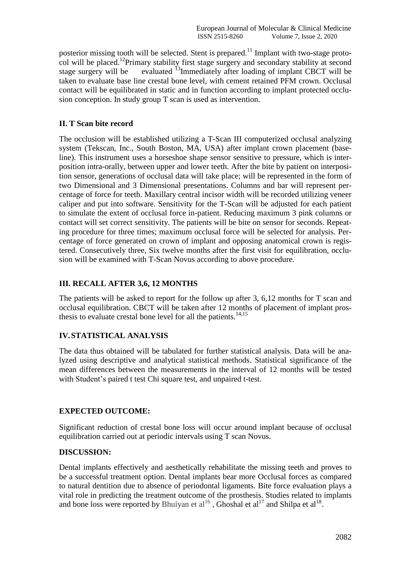posterior missing tooth will be selected. Stent is prepared.<sup>11</sup> Implant with two-stage protocol will be placed.<sup>12</sup>Primary stability first stage surgery and secondary stability at second<br>stage surgery will be evaluated  $\frac{13}{15}$ Immediately after loading of implant CBCT will be evaluated <sup>13</sup>Immediately after loading of implant CBCT will be taken to evaluate base line crestal bone level, with cement retained PFM crown. Occlusal contact will be equilibrated in static and in function according to implant protected occlusion conception. In study group T scan is used as intervention.

# **II. T Scan bite record**

The occlusion will be established utilizing a T-Scan III computerized occlusal analyzing system (Tekscan, Inc., South Boston, MA, USA) after implant crown placement (baseline). This instrument uses a horseshoe shape sensor sensitive to pressure, which is interposition intra-orally, between upper and lower teeth. After the bite by patient on interposition sensor, generations of occlusal data will take place; will be represented in the form of two Dimensional and 3 Dimensional presentations. Columns and bar will represent percentage of force for teeth. Maxillary central incisor width will be recorded utilizing veneer caliper and put into software. Sensitivity for the T-Scan will be adjusted for each patient to simulate the extent of occlusal force in-patient. Reducing maximum 3 pink columns or contact will set correct sensitivity. The patients will be bite on sensor for seconds. Repeating procedure for three times; maximum occlusal force will be selected for analysis. Percentage of force generated on crown of implant and opposing anatomical crown is registered. Consecutively three, Six twelve months after the first visit for equilibration, occlusion will be examined with T-Scan Novus according to above procedure.

# **III. RECALL AFTER 3,6, 12 MONTHS**

The patients will be asked to report for the follow up after 3, 6,12 months for T scan and occlusal equilibration. CBCT will be taken after 12 months of placement of implant prosthesis to evaluate crestal bone level for all the patients. $14,15$ 

# **IV.STATISTICAL ANALYSIS**

The data thus obtained will be tabulated for further statistical analysis. Data will be analyzed using descriptive and analytical statistical methods. Statistical significance of the mean differences between the measurements in the interval of 12 months will be tested with Student's paired t test Chi square test, and unpaired t-test.

#### **EXPECTED OUTCOME:**

Significant reduction of crestal bone loss will occur around implant because of occlusal equilibration carried out at periodic intervals using T scan Novus.

#### **DISCUSSION:**

Dental implants effectively and aesthetically rehabilitate the missing teeth and proves to be a successful treatment option. Dental implants bear more Occlusal forces as compared to natural dentition due to absence of periodontal ligaments. Bite force evaluation plays a vital role in predicting the treatment outcome of the prosthesis. Studies related to implants and bone loss were reported by Bhuiyan et  $al^{16}$ , Ghoshal et  $al^{17}$  and Shilpa et  $al^{18}$ .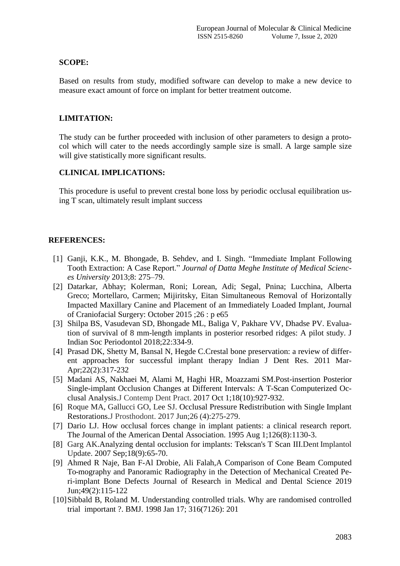## **SCOPE:**

Based on results from study, modified software can develop to make a new device to measure exact amount of force on implant for better treatment outcome.

## **LIMITATION:**

The study can be further proceeded with inclusion of other parameters to design a protocol which will cater to the needs accordingly sample size is small. A large sample size will give statistically more significant results.

## **CLINICAL IMPLICATIONS:**

This procedure is useful to prevent crestal bone loss by periodic occlusal equilibration using T scan, ultimately result implant success

## **REFERENCES:**

- [1] Ganji, K.K., M. Bhongade, B. Sehdev, and I. Singh. "Immediate Implant Following Tooth Extraction: A Case Report." *Journal of Datta Meghe Institute of Medical Sciences University* 2013;8: 275–79.
- [2] Datarkar, Abhay; Kolerman, Roni; Lorean, Adi; Segal, Pnina; Lucchina, Alberta Greco; Mortellaro, Carmen; Mijiritsky, Eitan Simultaneous Removal of Horizontally Impacted Maxillary Canine and Placement of an Immediately Loaded Implant, Journal of Craniofacial Surgery: October 2015 ;26 : p e65
- [3] Shilpa BS, Vasudevan SD, Bhongade ML, Baliga V, Pakhare VV, Dhadse PV. Evaluation of survival of 8 mm-length implants in posterior resorbed ridges: A pilot study. J Indian Soc Periodontol 2018;22:334-9.
- [4] [Prasad](https://www.ncbi.nlm.nih.gov/pubmed/?term=Prasad%2525252525252525252520DK%252525252525252525255BAuthor%252525252525252525255D&cauthor=true&cauthor_uid=21891906) DK, [Shetty](https://www.ncbi.nlm.nih.gov/pubmed/?term=Shetty%2525252525252525252520M%252525252525252525255BAuthor%252525252525252525255D&cauthor=true&cauthor_uid=21891906) M, [Bansal](https://www.ncbi.nlm.nih.gov/pubmed/?term=Bansal%2525252525252525252520N%252525252525252525255BAuthor%252525252525252525255D&cauthor=true&cauthor_uid=21891906) N, [Hegde](https://www.ncbi.nlm.nih.gov/pubmed/?term=Hegde%2525252525252525252520C%252525252525252525255BAuthor%252525252525252525255D&cauthor=true&cauthor_uid=21891906) C.Crestal bone preservation: a review of different approaches for successful implant therapy Indian J Dent Res. 2011 Mar-Apr;22(2):317-232
- [5] [Madani](https://www.ncbi.nlm.nih.gov/pubmed/?term=Madani%2525252525252525252520AS%252525252525252525255BAuthor%252525252525252525255D&cauthor=true&cauthor_uid=28989132) AS, [Nakhaei](https://www.ncbi.nlm.nih.gov/pubmed/?term=Nakhaei%2525252525252525252520M%252525252525252525255BAuthor%252525252525252525255D&cauthor=true&cauthor_uid=28989132) M, [Alami](https://www.ncbi.nlm.nih.gov/pubmed/?term=Alami%2525252525252525252520M%252525252525252525255BAuthor%252525252525252525255D&cauthor=true&cauthor_uid=28989132) M, [Haghi](https://www.ncbi.nlm.nih.gov/pubmed/?term=Haghi%2525252525252525252520HR%252525252525252525255BAuthor%252525252525252525255D&cauthor=true&cauthor_uid=28989132) HR, [Moazzami](https://www.ncbi.nlm.nih.gov/pubmed/?term=Moazzami%2525252525252525252520SM%252525252525252525255BAuthor%252525252525252525255D&cauthor=true&cauthor_uid=28989132) SM.Post-insertion Posterior Single-implant Occlusion Changes at Different Intervals: A T-Scan Computerized Occlusal Analysis.J Contemp Dent Pract. 2017 Oct 1;18(10):927-932.
- [6] [Roque](https://www.ncbi.nlm.nih.gov/pubmed/?term=Roque%2525252525252525252520MA%252525252525252525255BAuthor%252525252525252525255D&cauthor=true&cauthor_uid=27706865) MA, [Gallucci](https://www.ncbi.nlm.nih.gov/pubmed/?term=Gallucci%2525252525252525252520GO%252525252525252525255BAuthor%252525252525252525255D&cauthor=true&cauthor_uid=27706865) GO, [Lee](https://www.ncbi.nlm.nih.gov/pubmed/?term=Lee%2525252525252525252520SJ%252525252525252525255BAuthor%252525252525252525255D&cauthor=true&cauthor_uid=27706865) SJ. Occlusal Pressure Redistribution with Single Implant Restorations.J Prosthodont. 2017 Jun;26 (4):275-279.
- [7] Dario LJ. How occlusal forces change in implant patients: a clinical research report. The Journal of the American Dental Association. 1995 Aug 1;126(8):1130-3.
- [8] [Garg](https://www.ncbi.nlm.nih.gov/pubmed/?term=Garg%2525252525252525252520AK%252525252525252525255BAuthor%252525252525252525255D&cauthor=true&cauthor_uid=17944069) AK.Analyzing dental occlusion for implants: Tekscan's T Scan III.Dent Implantol Update. 2007 Sep;18(9):65-70.
- [9] Ahmed R Naje, Ban F-Al Drobie, Ali Falah,A Comparison of Cone Beam Computed To-mography and Panoramic Radiography in the Detection of Mechanical Created Peri-implant Bone Defects Journal of Research in Medical and Dental Science 2019 Jun;49(2):115-122
- [10]Sibbald B, Roland M. Understanding controlled trials. Why are randomised controlled trial important ?. BMJ. 1998 Jan 17; 316(7126): 201